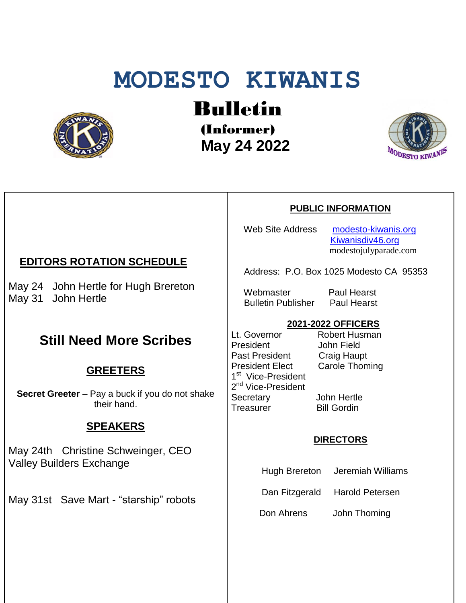# **MODESTO KIWANIS**



Bulletin

(Informer)  **May 24 2022**



### **PUBLIC INFORMATION**

Web Site Address [modesto-kiwanis.org](http://modesto-kiwanis.org/) [Kiwanisdiv46.org](http://www.kiwanisdiv46.org/) modestojulyparade.com

Address: P.O. Box 1025 Modesto CA 95353

Webmaster Paul Hearst Bulletin Publisher Paul Hearst

## **2021-2022 OFFICERS**

Lt. Governor Robert Husman President John Field Past President Craig Haupt President Elect Carole Thoming 1<sup>st</sup> Vice-President 2<sup>nd</sup> Vice-President Secretary John Hertle Treasurer Bill Gordin

### **DIRECTORS**

Hugh Brereton Jeremiah Williams

Dan Fitzgerald Harold Petersen

Don Ahrens John Thoming

# **EDITORS ROTATION SCHEDULE**

May 24 John Hertle for Hugh Brereton May 31 John Hertle

# **Still Need More Scribes**

# **GREETERS**

**Secret Greeter** – Pay a buck if you do not shake their hand.

# **SPEAKERS**

May 24th Christine Schweinger, CEO Valley Builders Exchange

May 31st Save Mart - "starship" robots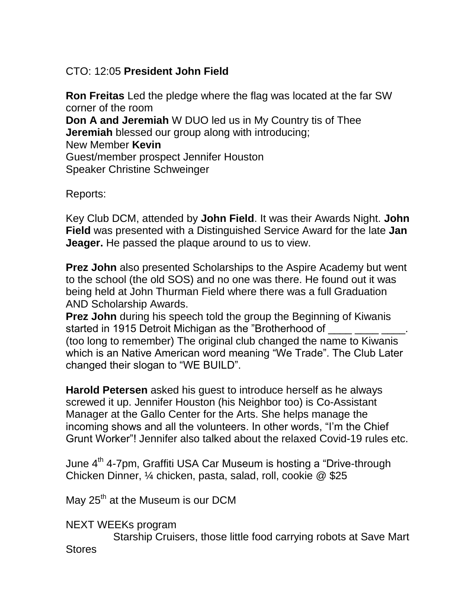# CTO: 12:05 **President John Field**

**Ron Freitas** Led the pledge where the flag was located at the far SW corner of the room **Don A and Jeremiah** W DUO led us in My Country tis of Thee **Jeremiah** blessed our group along with introducing; New Member **Kevin** Guest/member prospect Jennifer Houston Speaker Christine Schweinger

Reports:

Key Club DCM, attended by **John Field**. It was their Awards Night. **John Field** was presented with a Distinguished Service Award for the late **Jan Jeager.** He passed the plaque around to us to view.

**Prez John** also presented Scholarships to the Aspire Academy but went to the school (the old SOS) and no one was there. He found out it was being held at John Thurman Field where there was a full Graduation AND Scholarship Awards.

**Prez John** during his speech told the group the Beginning of Kiwanis started in 1915 Detroit Michigan as the "Brotherhood of (too long to remember) The original club changed the name to Kiwanis which is an Native American word meaning "We Trade". The Club Later changed their slogan to "WE BUILD".

**Harold Petersen** asked his guest to introduce herself as he always screwed it up. Jennifer Houston (his Neighbor too) is Co-Assistant Manager at the Gallo Center for the Arts. She helps manage the incoming shows and all the volunteers. In other words, "I'm the Chief Grunt Worker"! Jennifer also talked about the relaxed Covid-19 rules etc.

June 4<sup>th</sup> 4-7pm, Graffiti USA Car Museum is hosting a "Drive-through Chicken Dinner, ¼ chicken, pasta, salad, roll, cookie @ \$25

May  $25<sup>th</sup>$  at the Museum is our DCM

NEXT WEEKs program

 Starship Cruisers, those little food carrying robots at Save Mart **Stores**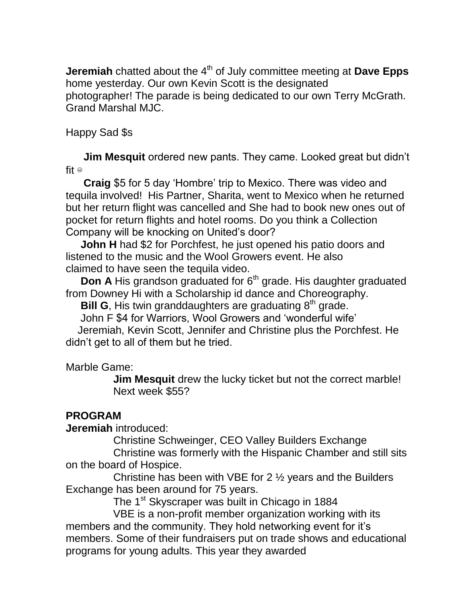**Jeremiah** chatted about the 4<sup>th</sup> of July committee meeting at **Dave Epps** home yesterday. Our own Kevin Scott is the designated photographer! The parade is being dedicated to our own Terry McGrath. Grand Marshal MJC.

Happy Sad \$s

 **Jim Mesquit** ordered new pants. They came. Looked great but didn't fit  $\circ$ 

 **Craig** \$5 for 5 day 'Hombre' trip to Mexico. There was video and tequila involved! His Partner, Sharita, went to Mexico when he returned but her return flight was cancelled and She had to book new ones out of pocket for return flights and hotel rooms. Do you think a Collection Company will be knocking on United's door?

 **John H** had \$2 for Porchfest, he just opened his patio doors and listened to the music and the Wool Growers event. He also claimed to have seen the tequila video.

**Don A** His grandson graduated for 6<sup>th</sup> grade. His daughter graduated from Downey Hi with a Scholarship id dance and Choreography.

**Bill G**, His twin granddaughters are graduating 8<sup>th</sup> grade.

John F \$4 for Warriors, Wool Growers and 'wonderful wife'

 Jeremiah, Kevin Scott, Jennifer and Christine plus the Porchfest. He didn't get to all of them but he tried.

Marble Game:

 **Jim Mesquit** drew the lucky ticket but not the correct marble! Next week \$55?

# **PROGRAM**

**Jeremiah** introduced:

Christine Schweinger, CEO Valley Builders Exchange

 Christine was formerly with the Hispanic Chamber and still sits on the board of Hospice.

 Christine has been with VBE for 2 ½ years and the Builders Exchange has been around for 75 years.

The 1<sup>st</sup> Skyscraper was built in Chicago in 1884

 VBE is a non-profit member organization working with its members and the community. They hold networking event for it's members. Some of their fundraisers put on trade shows and educational programs for young adults. This year they awarded